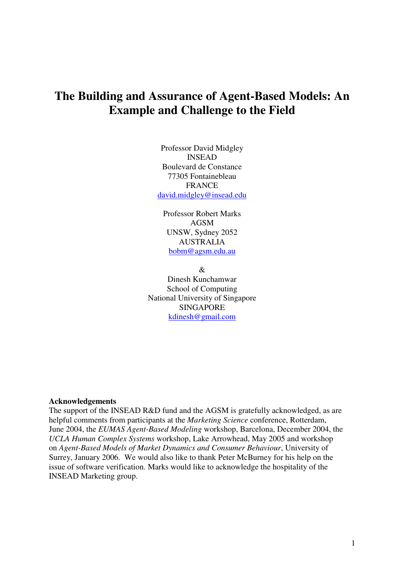# **The Building and Assurance of Agent-Based Models: An Example and Challenge to the Field**

Professor David Midgley INSEAD Boulevard de Constance 77305 Fontainebleau FRANCE david.midgley@insead.edu

Professor Robert Marks AGSM UNSW, Sydney 2052 AUSTRALIA bobm@agsm.edu.au

&

Dinesh Kunchamwar School of Computing National University of Singapore SINGAPORE kdinesh@gmail.com

## **Acknowledgements**

The support of the INSEAD R&D fund and the AGSM is gratefully acknowledged, as are helpful comments from participants at the *Marketing Science* conference, Rotterdam, June 2004, the *EUMAS Agent-Based Modeling* workshop, Barcelona, December 2004, the *UCLA Human Complex Systems* workshop, Lake Arrowhead, May 2005 and workshop on *Agent-Based Models of Market Dynamics and Consumer Behaviour*, University of Surrey, January 2006. We would also like to thank Peter McBurney for his help on the issue of software verification. Marks would like to acknowledge the hospitality of the INSEAD Marketing group.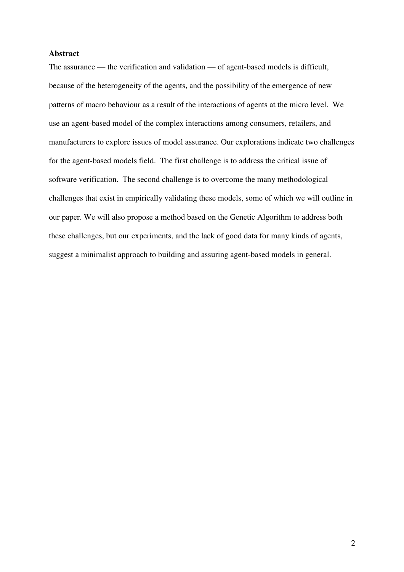## **Abstract**

The assurance — the verification and validation — of agent-based models is difficult, because of the heterogeneity of the agents, and the possibility of the emergence of new patterns of macro behaviour as a result of the interactions of agents at the micro level. We use an agent-based model of the complex interactions among consumers, retailers, and manufacturers to explore issues of model assurance. Our explorations indicate two challenges for the agent-based models field. The first challenge is to address the critical issue of software verification. The second challenge is to overcome the many methodological challenges that exist in empirically validating these models, some of which we will outline in our paper. We will also propose a method based on the Genetic Algorithm to address both these challenges, but our experiments, and the lack of good data for many kinds of agents, suggest a minimalist approach to building and assuring agent-based models in general.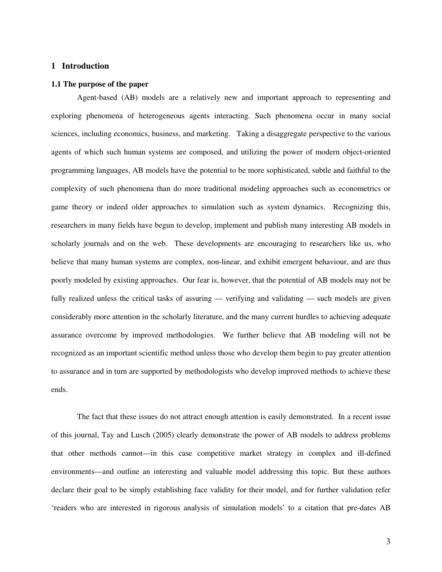## **1 Introduction**

#### **1.1 The purpose of the paper**

Agent-based (AB) models are a relatively new and important approach to representing and exploring phenomena of heterogeneous agents interacting. Such phenomena occur in many social sciences, including economics, business, and marketing. Taking a disaggregate perspective to the various agents of which such human systems are composed, and utilizing the power of modern object-oriented programming languages, AB models have the potential to be more sophisticated, subtle and faithful to the complexity of such phenomena than do more traditional modeling approaches such as econometrics or game theory or indeed older approaches to simulation such as system dynamics. Recognizing this, researchers in many fields have begun to develop, implement and publish many interesting AB models in scholarly journals and on the web. These developments are encouraging to researchers like us, who believe that many human systems are complex, non-linear, and exhibit emergent behaviour, and are thus poorly modeled by existing approaches. Our fear is, however, that the potential of AB models may not be fully realized unless the critical tasks of assuring — verifying and validating — such models are given considerably more attention in the scholarly literature, and the many current hurdles to achieving adequate assurance overcome by improved methodologies. We further believe that AB modeling will not be recognized as an important scientific method unless those who develop them begin to pay greater attention to assurance and in turn are supported by methodologists who develop improved methods to achieve these ends.

The fact that these issues do not attract enough attention is easily demonstrated. In a recent issue of this journal, Tay and Lusch (2005) clearly demonstrate the power of AB models to address problems that other methods cannot—in this case competitive market strategy in complex and ill-defined environments—and outline an interesting and valuable model addressing this topic. But these authors declare their goal to be simply establishing face validity for their model, and for further validation refer 'readers who are interested in rigorous analysis of simulation models' to a citation that pre-dates AB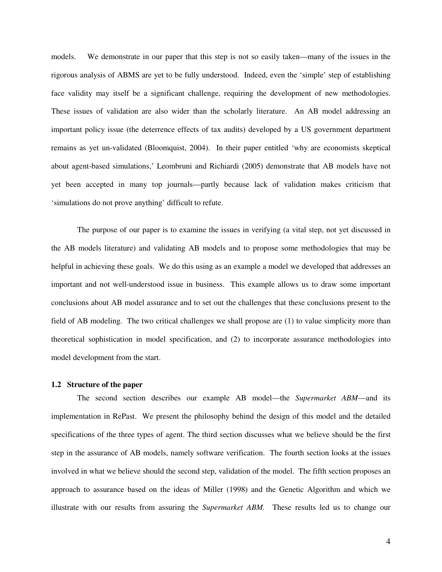models. We demonstrate in our paper that this step is not so easily taken—many of the issues in the rigorous analysis of ABMS are yet to be fully understood. Indeed, even the 'simple' step of establishing face validity may itself be a significant challenge, requiring the development of new methodologies. These issues of validation are also wider than the scholarly literature. An AB model addressing an important policy issue (the deterrence effects of tax audits) developed by a US government department remains as yet un-validated (Bloomquist, 2004). In their paper entitled 'why are economists skeptical about agent-based simulations,' Leombruni and Richiardi (2005) demonstrate that AB models have not yet been accepted in many top journals—partly because lack of validation makes criticism that 'simulations do not prove anything' difficult to refute.

The purpose of our paper is to examine the issues in verifying (a vital step, not yet discussed in the AB models literature) and validating AB models and to propose some methodologies that may be helpful in achieving these goals. We do this using as an example a model we developed that addresses an important and not well-understood issue in business. This example allows us to draw some important conclusions about AB model assurance and to set out the challenges that these conclusions present to the field of AB modeling. The two critical challenges we shall propose are (1) to value simplicity more than theoretical sophistication in model specification, and (2) to incorporate assurance methodologies into model development from the start.

#### **1.2 Structure of the paper**

The second section describes our example AB model—the *Supermarket ABM*—and its implementation in RePast. We present the philosophy behind the design of this model and the detailed specifications of the three types of agent. The third section discusses what we believe should be the first step in the assurance of AB models, namely software verification. The fourth section looks at the issues involved in what we believe should the second step, validation of the model. The fifth section proposes an approach to assurance based on the ideas of Miller (1998) and the Genetic Algorithm and which we illustrate with our results from assuring the *Supermarket ABM.* These results led us to change our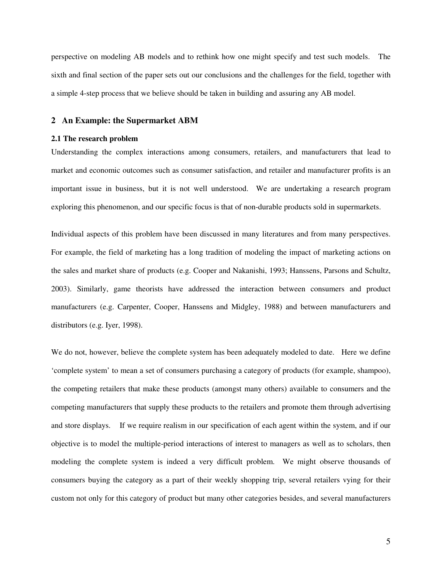perspective on modeling AB models and to rethink how one might specify and test such models. The sixth and final section of the paper sets out our conclusions and the challenges for the field, together with a simple 4-step process that we believe should be taken in building and assuring any AB model.

## **2 An Example: the Supermarket ABM**

## **2.1 The research problem**

Understanding the complex interactions among consumers, retailers, and manufacturers that lead to market and economic outcomes such as consumer satisfaction, and retailer and manufacturer profits is an important issue in business, but it is not well understood. We are undertaking a research program exploring this phenomenon, and our specific focus is that of non-durable products sold in supermarkets.

Individual aspects of this problem have been discussed in many literatures and from many perspectives. For example, the field of marketing has a long tradition of modeling the impact of marketing actions on the sales and market share of products (e.g. Cooper and Nakanishi, 1993; Hanssens, Parsons and Schultz, 2003). Similarly, game theorists have addressed the interaction between consumers and product manufacturers (e.g. Carpenter, Cooper, Hanssens and Midgley, 1988) and between manufacturers and distributors (e.g. Iyer, 1998).

We do not, however, believe the complete system has been adequately modeled to date. Here we define 'complete system' to mean a set of consumers purchasing a category of products (for example, shampoo), the competing retailers that make these products (amongst many others) available to consumers and the competing manufacturers that supply these products to the retailers and promote them through advertising and store displays. If we require realism in our specification of each agent within the system, and if our objective is to model the multiple-period interactions of interest to managers as well as to scholars, then modeling the complete system is indeed a very difficult problem. We might observe thousands of consumers buying the category as a part of their weekly shopping trip, several retailers vying for their custom not only for this category of product but many other categories besides, and several manufacturers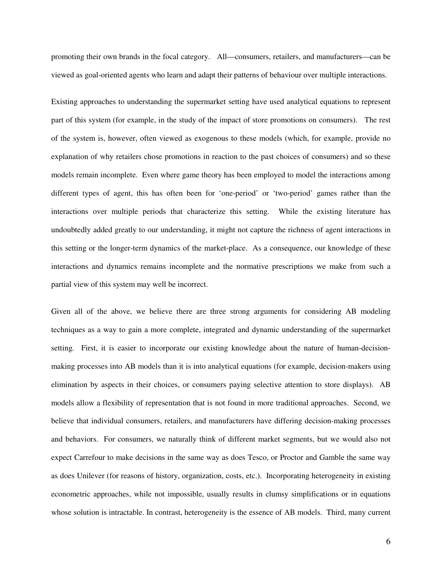promoting their own brands in the focal category. All—consumers, retailers, and manufacturers—can be viewed as goal-oriented agents who learn and adapt their patterns of behaviour over multiple interactions.

Existing approaches to understanding the supermarket setting have used analytical equations to represent part of this system (for example, in the study of the impact of store promotions on consumers). The rest of the system is, however, often viewed as exogenous to these models (which, for example, provide no explanation of why retailers chose promotions in reaction to the past choices of consumers) and so these models remain incomplete. Even where game theory has been employed to model the interactions among different types of agent, this has often been for 'one-period' or 'two-period' games rather than the interactions over multiple periods that characterize this setting. While the existing literature has undoubtedly added greatly to our understanding, it might not capture the richness of agent interactions in this setting or the longer-term dynamics of the market-place. As a consequence, our knowledge of these interactions and dynamics remains incomplete and the normative prescriptions we make from such a partial view of this system may well be incorrect.

Given all of the above, we believe there are three strong arguments for considering AB modeling techniques as a way to gain a more complete, integrated and dynamic understanding of the supermarket setting. First, it is easier to incorporate our existing knowledge about the nature of human-decisionmaking processes into AB models than it is into analytical equations (for example, decision-makers using elimination by aspects in their choices, or consumers paying selective attention to store displays). AB models allow a flexibility of representation that is not found in more traditional approaches. Second, we believe that individual consumers, retailers, and manufacturers have differing decision-making processes and behaviors. For consumers, we naturally think of different market segments, but we would also not expect Carrefour to make decisions in the same way as does Tesco, or Proctor and Gamble the same way as does Unilever (for reasons of history, organization, costs, etc.). Incorporating heterogeneity in existing econometric approaches, while not impossible, usually results in clumsy simplifications or in equations whose solution is intractable. In contrast, heterogeneity is the essence of AB models. Third, many current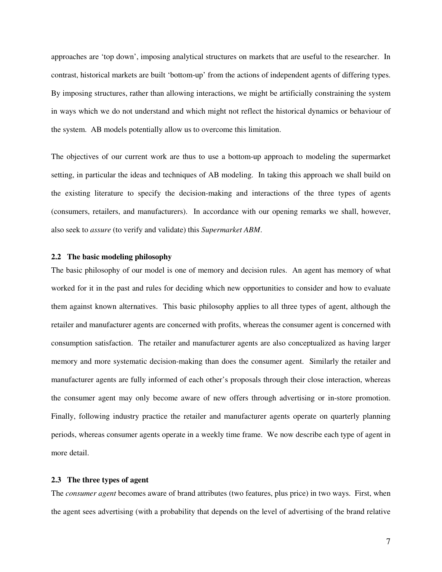approaches are 'top down', imposing analytical structures on markets that are useful to the researcher. In contrast, historical markets are built 'bottom-up' from the actions of independent agents of differing types. By imposing structures, rather than allowing interactions, we might be artificially constraining the system in ways which we do not understand and which might not reflect the historical dynamics or behaviour of the system. AB models potentially allow us to overcome this limitation.

The objectives of our current work are thus to use a bottom-up approach to modeling the supermarket setting, in particular the ideas and techniques of AB modeling. In taking this approach we shall build on the existing literature to specify the decision-making and interactions of the three types of agents (consumers, retailers, and manufacturers). In accordance with our opening remarks we shall, however, also seek to *assure* (to verify and validate) this *Supermarket ABM*.

## **2.2 The basic modeling philosophy**

The basic philosophy of our model is one of memory and decision rules. An agent has memory of what worked for it in the past and rules for deciding which new opportunities to consider and how to evaluate them against known alternatives. This basic philosophy applies to all three types of agent, although the retailer and manufacturer agents are concerned with profits, whereas the consumer agent is concerned with consumption satisfaction. The retailer and manufacturer agents are also conceptualized as having larger memory and more systematic decision-making than does the consumer agent. Similarly the retailer and manufacturer agents are fully informed of each other's proposals through their close interaction, whereas the consumer agent may only become aware of new offers through advertising or in-store promotion. Finally, following industry practice the retailer and manufacturer agents operate on quarterly planning periods, whereas consumer agents operate in a weekly time frame. We now describe each type of agent in more detail.

#### **2.3 The three types of agent**

The *consumer agent* becomes aware of brand attributes (two features, plus price) in two ways. First, when the agent sees advertising (with a probability that depends on the level of advertising of the brand relative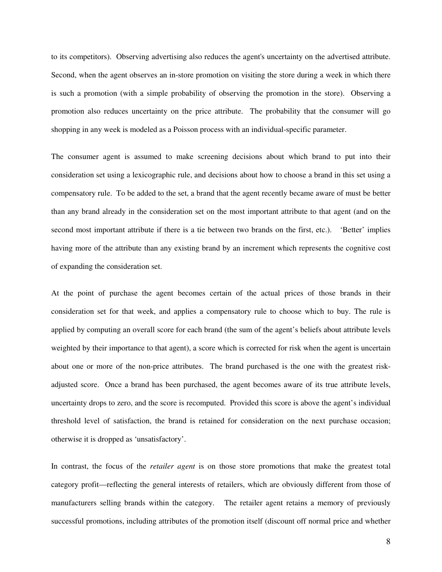to its competitors). Observing advertising also reduces the agent's uncertainty on the advertised attribute. Second, when the agent observes an in-store promotion on visiting the store during a week in which there is such a promotion (with a simple probability of observing the promotion in the store). Observing a promotion also reduces uncertainty on the price attribute. The probability that the consumer will go shopping in any week is modeled as a Poisson process with an individual-specific parameter.

The consumer agent is assumed to make screening decisions about which brand to put into their consideration set using a lexicographic rule, and decisions about how to choose a brand in this set using a compensatory rule. To be added to the set, a brand that the agent recently became aware of must be better than any brand already in the consideration set on the most important attribute to that agent (and on the second most important attribute if there is a tie between two brands on the first, etc.). 'Better' implies having more of the attribute than any existing brand by an increment which represents the cognitive cost of expanding the consideration set.

At the point of purchase the agent becomes certain of the actual prices of those brands in their consideration set for that week, and applies a compensatory rule to choose which to buy. The rule is applied by computing an overall score for each brand (the sum of the agent's beliefs about attribute levels weighted by their importance to that agent), a score which is corrected for risk when the agent is uncertain about one or more of the non-price attributes. The brand purchased is the one with the greatest riskadjusted score. Once a brand has been purchased, the agent becomes aware of its true attribute levels, uncertainty drops to zero, and the score is recomputed. Provided this score is above the agent's individual threshold level of satisfaction, the brand is retained for consideration on the next purchase occasion; otherwise it is dropped as 'unsatisfactory'.

In contrast, the focus of the *retailer agent* is on those store promotions that make the greatest total category profit—reflecting the general interests of retailers, which are obviously different from those of manufacturers selling brands within the category. The retailer agent retains a memory of previously successful promotions, including attributes of the promotion itself (discount off normal price and whether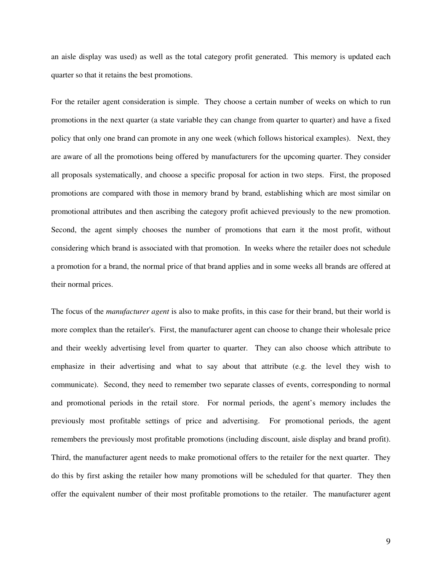an aisle display was used) as well as the total category profit generated. This memory is updated each quarter so that it retains the best promotions.

For the retailer agent consideration is simple. They choose a certain number of weeks on which to run promotions in the next quarter (a state variable they can change from quarter to quarter) and have a fixed policy that only one brand can promote in any one week (which follows historical examples). Next, they are aware of all the promotions being offered by manufacturers for the upcoming quarter. They consider all proposals systematically, and choose a specific proposal for action in two steps. First, the proposed promotions are compared with those in memory brand by brand, establishing which are most similar on promotional attributes and then ascribing the category profit achieved previously to the new promotion. Second, the agent simply chooses the number of promotions that earn it the most profit, without considering which brand is associated with that promotion. In weeks where the retailer does not schedule a promotion for a brand, the normal price of that brand applies and in some weeks all brands are offered at their normal prices.

The focus of the *manufacturer agent* is also to make profits, in this case for their brand, but their world is more complex than the retailer's. First, the manufacturer agent can choose to change their wholesale price and their weekly advertising level from quarter to quarter. They can also choose which attribute to emphasize in their advertising and what to say about that attribute (e.g. the level they wish to communicate). Second, they need to remember two separate classes of events, corresponding to normal and promotional periods in the retail store. For normal periods, the agent's memory includes the previously most profitable settings of price and advertising. For promotional periods, the agent remembers the previously most profitable promotions (including discount, aisle display and brand profit). Third, the manufacturer agent needs to make promotional offers to the retailer for the next quarter. They do this by first asking the retailer how many promotions will be scheduled for that quarter. They then offer the equivalent number of their most profitable promotions to the retailer. The manufacturer agent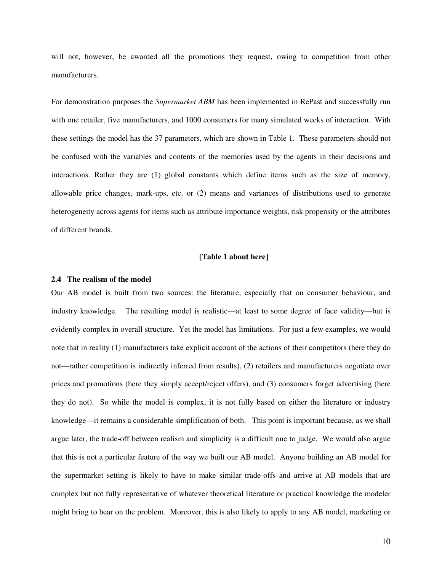will not, however, be awarded all the promotions they request, owing to competition from other manufacturers.

For demonstration purposes the *Supermarket ABM* has been implemented in RePast and successfully run with one retailer, five manufacturers, and 1000 consumers for many simulated weeks of interaction. With these settings the model has the 37 parameters, which are shown in Table 1. These parameters should not be confused with the variables and contents of the memories used by the agents in their decisions and interactions. Rather they are (1) global constants which define items such as the size of memory, allowable price changes, mark-ups, etc. or (2) means and variances of distributions used to generate heterogeneity across agents for items such as attribute importance weights, risk propensity or the attributes of different brands.

#### **[Table 1 about here]**

## **2.4 The realism of the model**

Our AB model is built from two sources: the literature, especially that on consumer behaviour, and industry knowledge. The resulting model is realistic—at least to some degree of face validity—but is evidently complex in overall structure. Yet the model has limitations. For just a few examples, we would note that in reality (1) manufacturers take explicit account of the actions of their competitors (here they do not—rather competition is indirectly inferred from results), (2) retailers and manufacturers negotiate over prices and promotions (here they simply accept/reject offers), and (3) consumers forget advertising (here they do not). So while the model is complex, it is not fully based on either the literature or industry knowledge—it remains a considerable simplification of both. This point is important because, as we shall argue later, the trade-off between realism and simplicity is a difficult one to judge. We would also argue that this is not a particular feature of the way we built our AB model. Anyone building an AB model for the supermarket setting is likely to have to make similar trade-offs and arrive at AB models that are complex but not fully representative of whatever theoretical literature or practical knowledge the modeler might bring to bear on the problem. Moreover, this is also likely to apply to any AB model, marketing or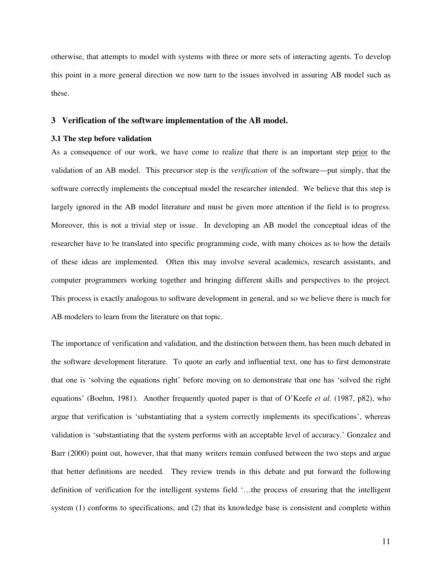otherwise, that attempts to model with systems with three or more sets of interacting agents. To develop this point in a more general direction we now turn to the issues involved in assuring AB model such as these.

## **3 Verification of the software implementation of the AB model.**

## **3.1 The step before validation**

As a consequence of our work, we have come to realize that there is an important step prior to the validation of an AB model. This precursor step is the *verification* of the software—put simply, that the software correctly implements the conceptual model the researcher intended. We believe that this step is largely ignored in the AB model literature and must be given more attention if the field is to progress. Moreover, this is not a trivial step or issue. In developing an AB model the conceptual ideas of the researcher have to be translated into specific programming code, with many choices as to how the details of these ideas are implemented. Often this may involve several academics, research assistants, and computer programmers working together and bringing different skills and perspectives to the project. This process is exactly analogous to software development in general, and so we believe there is much for AB modelers to learn from the literature on that topic.

The importance of verification and validation, and the distinction between them, has been much debated in the software development literature. To quote an early and influential text, one has to first demonstrate that one is 'solving the equations right' before moving on to demonstrate that one has 'solved the right equations' (Boehm, 1981). Another frequently quoted paper is that of O'Keefe *et al.* (1987, p82), who argue that verification is 'substantiating that a system correctly implements its specifications', whereas validation is 'substantiating that the system performs with an acceptable level of accuracy.' Gonzalez and Barr (2000) point out, however, that that many writers remain confused between the two steps and argue that better definitions are needed. They review trends in this debate and put forward the following definition of verification for the intelligent systems field '…the process of ensuring that the intelligent system (1) conforms to specifications, and (2) that its knowledge base is consistent and complete within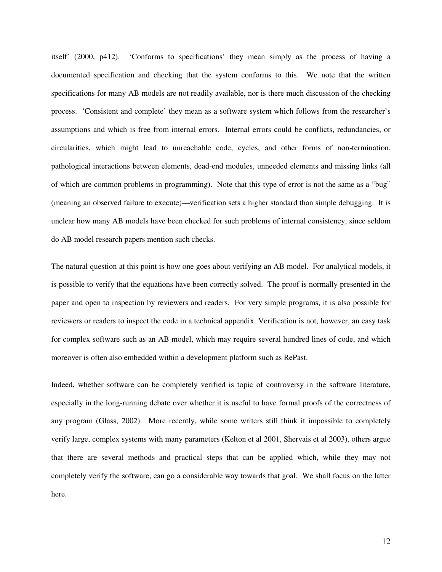itself' (2000, p412). 'Conforms to specifications' they mean simply as the process of having a documented specification and checking that the system conforms to this. We note that the written specifications for many AB models are not readily available, nor is there much discussion of the checking process. 'Consistent and complete' they mean as a software system which follows from the researcher's assumptions and which is free from internal errors. Internal errors could be conflicts, redundancies, or circularities, which might lead to unreachable code, cycles, and other forms of non-termination, pathological interactions between elements, dead-end modules, unneeded elements and missing links (all of which are common problems in programming). Note that this type of error is not the same as a "bug" (meaning an observed failure to execute)—verification sets a higher standard than simple debugging. It is unclear how many AB models have been checked for such problems of internal consistency, since seldom do AB model research papers mention such checks.

The natural question at this point is how one goes about verifying an AB model. For analytical models, it is possible to verify that the equations have been correctly solved. The proof is normally presented in the paper and open to inspection by reviewers and readers. For very simple programs, it is also possible for reviewers or readers to inspect the code in a technical appendix. Verification is not, however, an easy task for complex software such as an AB model, which may require several hundred lines of code, and which moreover is often also embedded within a development platform such as RePast.

Indeed, whether software can be completely verified is topic of controversy in the software literature, especially in the long-running debate over whether it is useful to have formal proofs of the correctness of any program (Glass, 2002). More recently, while some writers still think it impossible to completely verify large, complex systems with many parameters (Kelton et al 2001, Shervais et al 2003), others argue that there are several methods and practical steps that can be applied which, while they may not completely verify the software, can go a considerable way towards that goal. We shall focus on the latter here.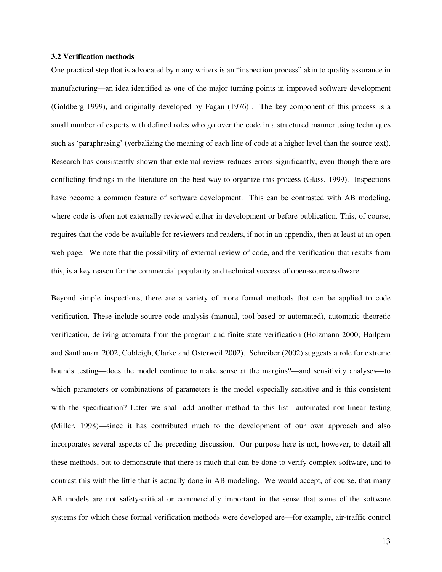#### **3.2 Verification methods**

One practical step that is advocated by many writers is an "inspection process" akin to quality assurance in manufacturing—an idea identified as one of the major turning points in improved software development (Goldberg 1999), and originally developed by Fagan (1976) . The key component of this process is a small number of experts with defined roles who go over the code in a structured manner using techniques such as 'paraphrasing' (verbalizing the meaning of each line of code at a higher level than the source text). Research has consistently shown that external review reduces errors significantly, even though there are conflicting findings in the literature on the best way to organize this process (Glass, 1999). Inspections have become a common feature of software development. This can be contrasted with AB modeling, where code is often not externally reviewed either in development or before publication. This, of course, requires that the code be available for reviewers and readers, if not in an appendix, then at least at an open web page. We note that the possibility of external review of code, and the verification that results from this, is a key reason for the commercial popularity and technical success of open-source software.

Beyond simple inspections, there are a variety of more formal methods that can be applied to code verification. These include source code analysis (manual, tool-based or automated), automatic theoretic verification, deriving automata from the program and finite state verification (Holzmann 2000; Hailpern and Santhanam 2002; Cobleigh, Clarke and Osterweil 2002). Schreiber (2002) suggests a role for extreme bounds testing—does the model continue to make sense at the margins?—and sensitivity analyses—to which parameters or combinations of parameters is the model especially sensitive and is this consistent with the specification? Later we shall add another method to this list—automated non-linear testing (Miller, 1998)—since it has contributed much to the development of our own approach and also incorporates several aspects of the preceding discussion. Our purpose here is not, however, to detail all these methods, but to demonstrate that there is much that can be done to verify complex software, and to contrast this with the little that is actually done in AB modeling. We would accept, of course, that many AB models are not safety-critical or commercially important in the sense that some of the software systems for which these formal verification methods were developed are—for example, air-traffic control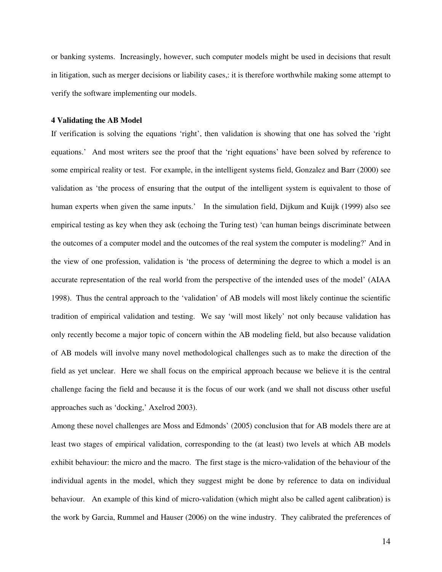or banking systems. Increasingly, however, such computer models might be used in decisions that result in litigation, such as merger decisions or liability cases,: it is therefore worthwhile making some attempt to verify the software implementing our models.

#### **4 Validating the AB Model**

If verification is solving the equations 'right', then validation is showing that one has solved the 'right equations.' And most writers see the proof that the 'right equations' have been solved by reference to some empirical reality or test. For example, in the intelligent systems field, Gonzalez and Barr (2000) see validation as 'the process of ensuring that the output of the intelligent system is equivalent to those of human experts when given the same inputs.' In the simulation field, Dijkum and Kuijk (1999) also see empirical testing as key when they ask (echoing the Turing test) 'can human beings discriminate between the outcomes of a computer model and the outcomes of the real system the computer is modeling?' And in the view of one profession, validation is 'the process of determining the degree to which a model is an accurate representation of the real world from the perspective of the intended uses of the model' (AIAA 1998). Thus the central approach to the 'validation' of AB models will most likely continue the scientific tradition of empirical validation and testing. We say 'will most likely' not only because validation has only recently become a major topic of concern within the AB modeling field, but also because validation of AB models will involve many novel methodological challenges such as to make the direction of the field as yet unclear. Here we shall focus on the empirical approach because we believe it is the central challenge facing the field and because it is the focus of our work (and we shall not discuss other useful approaches such as 'docking,' Axelrod 2003).

Among these novel challenges are Moss and Edmonds' (2005) conclusion that for AB models there are at least two stages of empirical validation, corresponding to the (at least) two levels at which AB models exhibit behaviour: the micro and the macro. The first stage is the micro-validation of the behaviour of the individual agents in the model, which they suggest might be done by reference to data on individual behaviour. An example of this kind of micro-validation (which might also be called agent calibration) is the work by Garcia, Rummel and Hauser (2006) on the wine industry. They calibrated the preferences of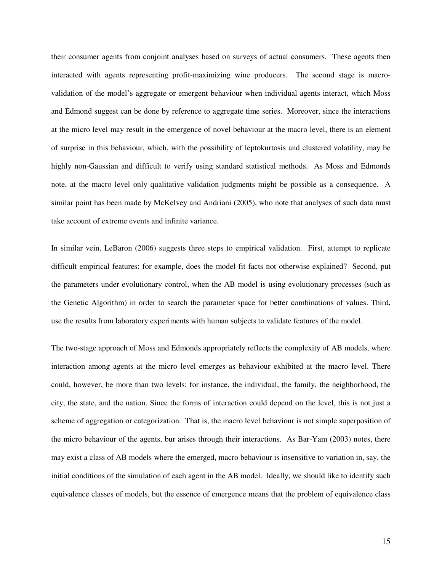their consumer agents from conjoint analyses based on surveys of actual consumers. These agents then interacted with agents representing profit-maximizing wine producers. The second stage is macrovalidation of the model's aggregate or emergent behaviour when individual agents interact, which Moss and Edmond suggest can be done by reference to aggregate time series. Moreover, since the interactions at the micro level may result in the emergence of novel behaviour at the macro level, there is an element of surprise in this behaviour, which, with the possibility of leptokurtosis and clustered volatility, may be highly non-Gaussian and difficult to verify using standard statistical methods. As Moss and Edmonds note, at the macro level only qualitative validation judgments might be possible as a consequence. A similar point has been made by McKelvey and Andriani (2005), who note that analyses of such data must take account of extreme events and infinite variance.

In similar vein, LeBaron (2006) suggests three steps to empirical validation. First, attempt to replicate difficult empirical features: for example, does the model fit facts not otherwise explained? Second, put the parameters under evolutionary control, when the AB model is using evolutionary processes (such as the Genetic Algorithm) in order to search the parameter space for better combinations of values. Third, use the results from laboratory experiments with human subjects to validate features of the model.

The two-stage approach of Moss and Edmonds appropriately reflects the complexity of AB models, where interaction among agents at the micro level emerges as behaviour exhibited at the macro level. There could, however, be more than two levels: for instance, the individual, the family, the neighborhood, the city, the state, and the nation. Since the forms of interaction could depend on the level, this is not just a scheme of aggregation or categorization.That is, the macro level behaviour is not simple superposition of the micro behaviour of the agents, bur arises through their interactions. As Bar-Yam (2003) notes, there may exist a class of AB models where the emerged, macro behaviour is insensitive to variation in, say, the initial conditions of the simulation of each agent in the AB model. Ideally, we should like to identify such equivalence classes of models, but the essence of emergence means that the problem of equivalence class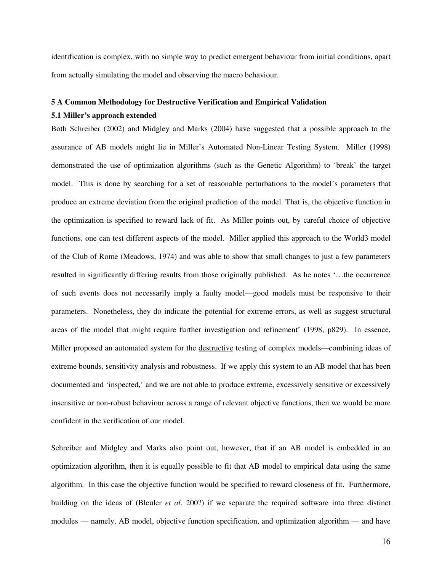identification is complex, with no simple way to predict emergent behaviour from initial conditions, apart from actually simulating the model and observing the macro behaviour.

## **5 A Common Methodology for Destructive Verification and Empirical Validation**

## **5.1 Miller's approach extended**

Both Schreiber (2002) and Midgley and Marks (2004) have suggested that a possible approach to the assurance of AB models might lie in Miller's Automated Non-Linear Testing System. Miller (1998) demonstrated the use of optimization algorithms (such as the Genetic Algorithm) to 'break' the target model. This is done by searching for a set of reasonable perturbations to the model's parameters that produce an extreme deviation from the original prediction of the model. That is, the objective function in the optimization is specified to reward lack of fit. As Miller points out, by careful choice of objective functions, one can test different aspects of the model. Miller applied this approach to the World3 model of the Club of Rome (Meadows, 1974) and was able to show that small changes to just a few parameters resulted in significantly differing results from those originally published. As he notes '…the occurrence of such events does not necessarily imply a faulty model—good models must be responsive to their parameters. Nonetheless, they do indicate the potential for extreme errors, as well as suggest structural areas of the model that might require further investigation and refinement' (1998, p829). In essence, Miller proposed an automated system for the destructive testing of complex models—combining ideas of extreme bounds, sensitivity analysis and robustness. If we apply this system to an AB model that has been documented and 'inspected,' and we are not able to produce extreme, excessively sensitive or excessively insensitive or non-robust behaviour across a range of relevant objective functions, then we would be more confident in the verification of our model.

Schreiber and Midgley and Marks also point out, however, that if an AB model is embedded in an optimization algorithm, then it is equally possible to fit that AB model to empirical data using the same algorithm. In this case the objective function would be specified to reward closeness of fit. Furthermore, building on the ideas of (Bleuler *et al*, 200?) if we separate the required software into three distinct modules — namely, AB model, objective function specification, and optimization algorithm — and have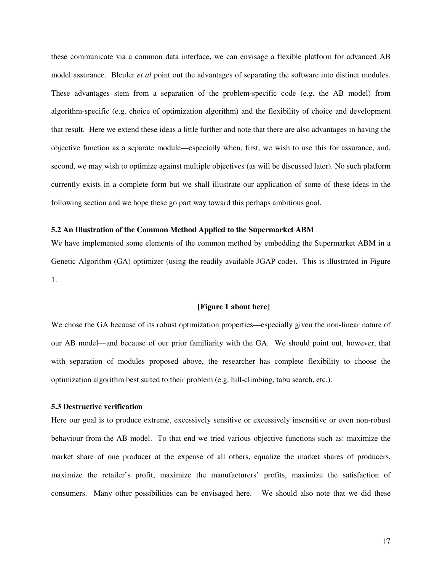these communicate via a common data interface, we can envisage a flexible platform for advanced AB model assurance. Bleuler *et al* point out the advantages of separating the software into distinct modules. These advantages stem from a separation of the problem-specific code (e.g. the AB model) from algorithm-specific (e.g. choice of optimization algorithm) and the flexibility of choice and development that result. Here we extend these ideas a little further and note that there are also advantages in having the objective function as a separate module—especially when, first, we wish to use this for assurance, and, second, we may wish to optimize against multiple objectives (as will be discussed later). No such platform currently exists in a complete form but we shall illustrate our application of some of these ideas in the following section and we hope these go part way toward this perhaps ambitious goal.

#### **5.2 An Illustration of the Common Method Applied to the Supermarket ABM**

We have implemented some elements of the common method by embedding the Supermarket ABM in a Genetic Algorithm (GA) optimizer (using the readily available JGAP code). This is illustrated in Figure 1.

## **[Figure 1 about here]**

We chose the GA because of its robust optimization properties—especially given the non-linear nature of our AB model—and because of our prior familiarity with the GA. We should point out, however, that with separation of modules proposed above, the researcher has complete flexibility to choose the optimization algorithm best suited to their problem (e.g. hill-climbing, tabu search, etc.).

## **5.3 Destructive verification**

Here our goal is to produce extreme, excessively sensitive or excessively insensitive or even non-robust behaviour from the AB model. To that end we tried various objective functions such as: maximize the market share of one producer at the expense of all others, equalize the market shares of producers, maximize the retailer's profit, maximize the manufacturers' profits, maximize the satisfaction of consumers. Many other possibilities can be envisaged here. We should also note that we did these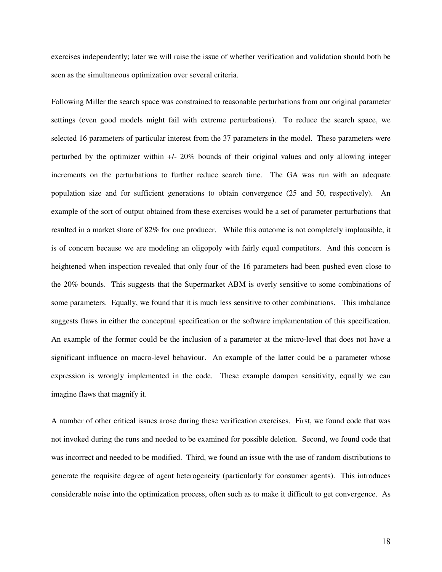exercises independently; later we will raise the issue of whether verification and validation should both be seen as the simultaneous optimization over several criteria.

Following Miller the search space was constrained to reasonable perturbations from our original parameter settings (even good models might fail with extreme perturbations). To reduce the search space, we selected 16 parameters of particular interest from the 37 parameters in the model. These parameters were perturbed by the optimizer within +/- 20% bounds of their original values and only allowing integer increments on the perturbations to further reduce search time. The GA was run with an adequate population size and for sufficient generations to obtain convergence (25 and 50, respectively). An example of the sort of output obtained from these exercises would be a set of parameter perturbations that resulted in a market share of 82% for one producer. While this outcome is not completely implausible, it is of concern because we are modeling an oligopoly with fairly equal competitors. And this concern is heightened when inspection revealed that only four of the 16 parameters had been pushed even close to the 20% bounds. This suggests that the Supermarket ABM is overly sensitive to some combinations of some parameters. Equally, we found that it is much less sensitive to other combinations. This imbalance suggests flaws in either the conceptual specification or the software implementation of this specification. An example of the former could be the inclusion of a parameter at the micro-level that does not have a significant influence on macro-level behaviour. An example of the latter could be a parameter whose expression is wrongly implemented in the code. These example dampen sensitivity, equally we can imagine flaws that magnify it.

A number of other critical issues arose during these verification exercises. First, we found code that was not invoked during the runs and needed to be examined for possible deletion. Second, we found code that was incorrect and needed to be modified. Third, we found an issue with the use of random distributions to generate the requisite degree of agent heterogeneity (particularly for consumer agents). This introduces considerable noise into the optimization process, often such as to make it difficult to get convergence. As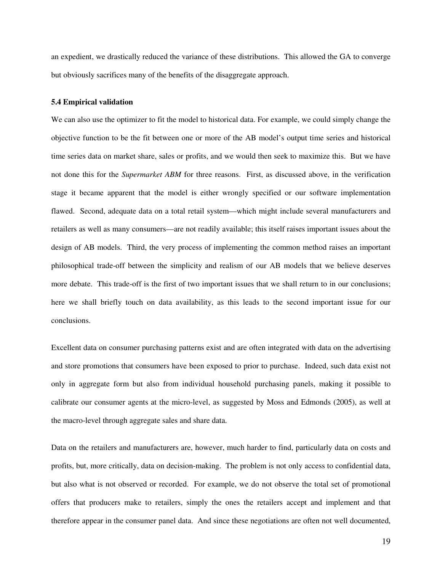an expedient, we drastically reduced the variance of these distributions. This allowed the GA to converge but obviously sacrifices many of the benefits of the disaggregate approach.

#### **5.4 Empirical validation**

We can also use the optimizer to fit the model to historical data. For example, we could simply change the objective function to be the fit between one or more of the AB model's output time series and historical time series data on market share, sales or profits, and we would then seek to maximize this. But we have not done this for the *Supermarket ABM* for three reasons. First, as discussed above, in the verification stage it became apparent that the model is either wrongly specified or our software implementation flawed. Second, adequate data on a total retail system—which might include several manufacturers and retailers as well as many consumers—are not readily available; this itself raises important issues about the design of AB models. Third, the very process of implementing the common method raises an important philosophical trade-off between the simplicity and realism of our AB models that we believe deserves more debate. This trade-off is the first of two important issues that we shall return to in our conclusions; here we shall briefly touch on data availability, as this leads to the second important issue for our conclusions.

Excellent data on consumer purchasing patterns exist and are often integrated with data on the advertising and store promotions that consumers have been exposed to prior to purchase. Indeed, such data exist not only in aggregate form but also from individual household purchasing panels, making it possible to calibrate our consumer agents at the micro-level, as suggested by Moss and Edmonds (2005), as well at the macro-level through aggregate sales and share data.

Data on the retailers and manufacturers are, however, much harder to find, particularly data on costs and profits, but, more critically, data on decision-making. The problem is not only access to confidential data, but also what is not observed or recorded. For example, we do not observe the total set of promotional offers that producers make to retailers, simply the ones the retailers accept and implement and that therefore appear in the consumer panel data. And since these negotiations are often not well documented,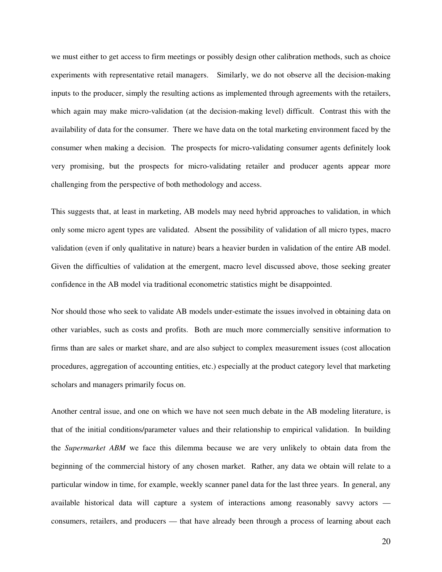we must either to get access to firm meetings or possibly design other calibration methods, such as choice experiments with representative retail managers. Similarly, we do not observe all the decision-making inputs to the producer, simply the resulting actions as implemented through agreements with the retailers, which again may make micro-validation (at the decision-making level) difficult. Contrast this with the availability of data for the consumer. There we have data on the total marketing environment faced by the consumer when making a decision. The prospects for micro-validating consumer agents definitely look very promising, but the prospects for micro-validating retailer and producer agents appear more challenging from the perspective of both methodology and access.

This suggests that, at least in marketing, AB models may need hybrid approaches to validation, in which only some micro agent types are validated. Absent the possibility of validation of all micro types, macro validation (even if only qualitative in nature) bears a heavier burden in validation of the entire AB model. Given the difficulties of validation at the emergent, macro level discussed above, those seeking greater confidence in the AB model via traditional econometric statistics might be disappointed.

Nor should those who seek to validate AB models under-estimate the issues involved in obtaining data on other variables, such as costs and profits. Both are much more commercially sensitive information to firms than are sales or market share, and are also subject to complex measurement issues (cost allocation procedures, aggregation of accounting entities, etc.) especially at the product category level that marketing scholars and managers primarily focus on.

Another central issue, and one on which we have not seen much debate in the AB modeling literature, is that of the initial conditions/parameter values and their relationship to empirical validation. In building the *Supermarket ABM* we face this dilemma because we are very unlikely to obtain data from the beginning of the commercial history of any chosen market. Rather, any data we obtain will relate to a particular window in time, for example, weekly scanner panel data for the last three years. In general, any available historical data will capture a system of interactions among reasonably savvy actors consumers, retailers, and producers — that have already been through a process of learning about each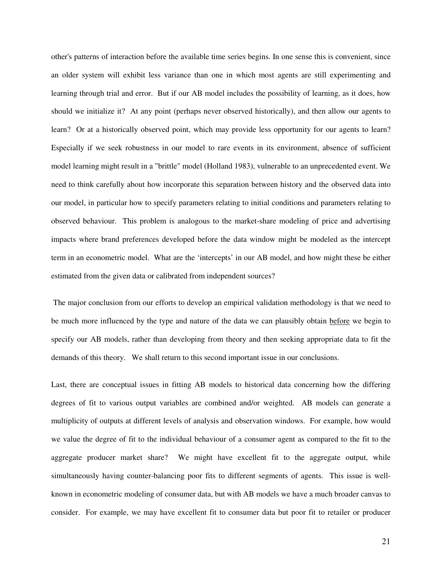other's patterns of interaction before the available time series begins. In one sense this is convenient, since an older system will exhibit less variance than one in which most agents are still experimenting and learning through trial and error. But if our AB model includes the possibility of learning, as it does, how should we initialize it? At any point (perhaps never observed historically), and then allow our agents to learn? Or at a historically observed point, which may provide less opportunity for our agents to learn? Especially if we seek robustness in our model to rare events in its environment, absence of sufficient model learning might result in a "brittle" model (Holland 1983), vulnerable to an unprecedented event. We need to think carefully about how incorporate this separation between history and the observed data into our model, in particular how to specify parameters relating to initial conditions and parameters relating to observed behaviour. This problem is analogous to the market-share modeling of price and advertising impacts where brand preferences developed before the data window might be modeled as the intercept term in an econometric model. What are the 'intercepts' in our AB model, and how might these be either estimated from the given data or calibrated from independent sources?

 The major conclusion from our efforts to develop an empirical validation methodology is that we need to be much more influenced by the type and nature of the data we can plausibly obtain before we begin to specify our AB models, rather than developing from theory and then seeking appropriate data to fit the demands of this theory. We shall return to this second important issue in our conclusions.

Last, there are conceptual issues in fitting AB models to historical data concerning how the differing degrees of fit to various output variables are combined and/or weighted. AB models can generate a multiplicity of outputs at different levels of analysis and observation windows. For example, how would we value the degree of fit to the individual behaviour of a consumer agent as compared to the fit to the aggregate producer market share? We might have excellent fit to the aggregate output, while simultaneously having counter-balancing poor fits to different segments of agents. This issue is wellknown in econometric modeling of consumer data, but with AB models we have a much broader canvas to consider. For example, we may have excellent fit to consumer data but poor fit to retailer or producer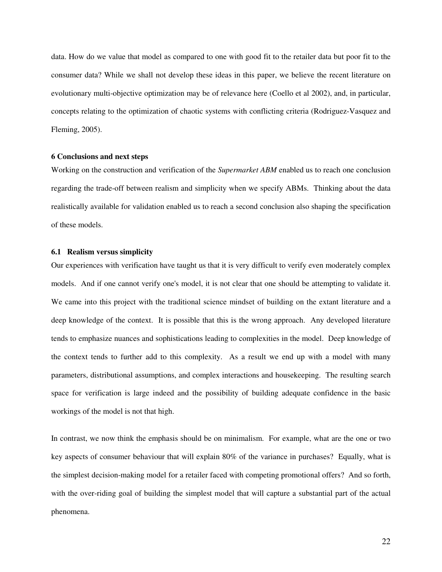data. How do we value that model as compared to one with good fit to the retailer data but poor fit to the consumer data? While we shall not develop these ideas in this paper, we believe the recent literature on evolutionary multi-objective optimization may be of relevance here (Coello et al 2002), and, in particular, concepts relating to the optimization of chaotic systems with conflicting criteria (Rodriguez-Vasquez and Fleming, 2005).

## **6 Conclusions and next steps**

Working on the construction and verification of the *Supermarket ABM* enabled us to reach one conclusion regarding the trade-off between realism and simplicity when we specify ABMs. Thinking about the data realistically available for validation enabled us to reach a second conclusion also shaping the specification of these models.

## **6.1 Realism versus simplicity**

Our experiences with verification have taught us that it is very difficult to verify even moderately complex models. And if one cannot verify one's model, it is not clear that one should be attempting to validate it. We came into this project with the traditional science mindset of building on the extant literature and a deep knowledge of the context. It is possible that this is the wrong approach. Any developed literature tends to emphasize nuances and sophistications leading to complexities in the model. Deep knowledge of the context tends to further add to this complexity. As a result we end up with a model with many parameters, distributional assumptions, and complex interactions and housekeeping. The resulting search space for verification is large indeed and the possibility of building adequate confidence in the basic workings of the model is not that high.

In contrast, we now think the emphasis should be on minimalism. For example, what are the one or two key aspects of consumer behaviour that will explain 80% of the variance in purchases? Equally, what is the simplest decision-making model for a retailer faced with competing promotional offers? And so forth, with the over-riding goal of building the simplest model that will capture a substantial part of the actual phenomena.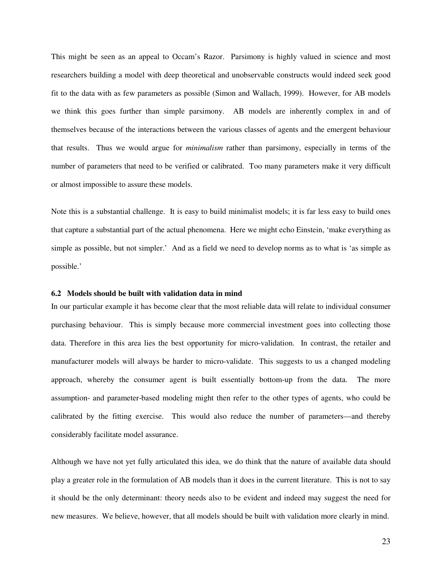This might be seen as an appeal to Occam's Razor. Parsimony is highly valued in science and most researchers building a model with deep theoretical and unobservable constructs would indeed seek good fit to the data with as few parameters as possible (Simon and Wallach, 1999). However, for AB models we think this goes further than simple parsimony. AB models are inherently complex in and of themselves because of the interactions between the various classes of agents and the emergent behaviour that results. Thus we would argue for *minimalism* rather than parsimony, especially in terms of the number of parameters that need to be verified or calibrated. Too many parameters make it very difficult or almost impossible to assure these models.

Note this is a substantial challenge. It is easy to build minimalist models; it is far less easy to build ones that capture a substantial part of the actual phenomena. Here we might echo Einstein, 'make everything as simple as possible, but not simpler.' And as a field we need to develop norms as to what is 'as simple as possible.'

#### **6.2 Models should be built with validation data in mind**

In our particular example it has become clear that the most reliable data will relate to individual consumer purchasing behaviour. This is simply because more commercial investment goes into collecting those data. Therefore in this area lies the best opportunity for micro-validation. In contrast, the retailer and manufacturer models will always be harder to micro-validate. This suggests to us a changed modeling approach, whereby the consumer agent is built essentially bottom-up from the data. The more assumption- and parameter-based modeling might then refer to the other types of agents, who could be calibrated by the fitting exercise. This would also reduce the number of parameters—and thereby considerably facilitate model assurance.

Although we have not yet fully articulated this idea, we do think that the nature of available data should play a greater role in the formulation of AB models than it does in the current literature. This is not to say it should be the only determinant: theory needs also to be evident and indeed may suggest the need for new measures. We believe, however, that all models should be built with validation more clearly in mind.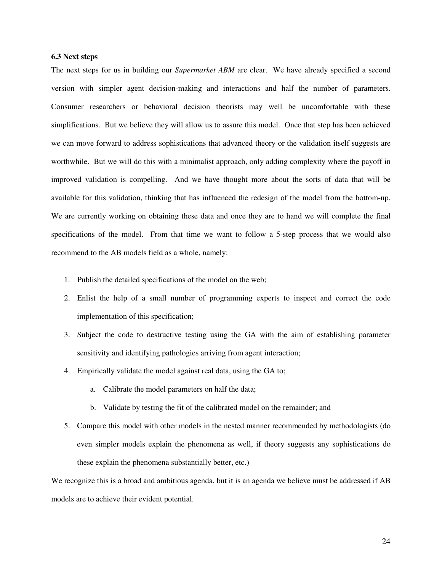## **6.3 Next steps**

The next steps for us in building our *Supermarket ABM* are clear. We have already specified a second version with simpler agent decision-making and interactions and half the number of parameters. Consumer researchers or behavioral decision theorists may well be uncomfortable with these simplifications. But we believe they will allow us to assure this model. Once that step has been achieved we can move forward to address sophistications that advanced theory or the validation itself suggests are worthwhile. But we will do this with a minimalist approach, only adding complexity where the payoff in improved validation is compelling. And we have thought more about the sorts of data that will be available for this validation, thinking that has influenced the redesign of the model from the bottom-up. We are currently working on obtaining these data and once they are to hand we will complete the final specifications of the model. From that time we want to follow a 5-step process that we would also recommend to the AB models field as a whole, namely:

- 1. Publish the detailed specifications of the model on the web;
- 2. Enlist the help of a small number of programming experts to inspect and correct the code implementation of this specification;
- 3. Subject the code to destructive testing using the GA with the aim of establishing parameter sensitivity and identifying pathologies arriving from agent interaction;
- 4. Empirically validate the model against real data, using the GA to;
	- a. Calibrate the model parameters on half the data;
	- b. Validate by testing the fit of the calibrated model on the remainder; and
- 5. Compare this model with other models in the nested manner recommended by methodologists (do even simpler models explain the phenomena as well, if theory suggests any sophistications do these explain the phenomena substantially better, etc.)

We recognize this is a broad and ambitious agenda, but it is an agenda we believe must be addressed if AB models are to achieve their evident potential.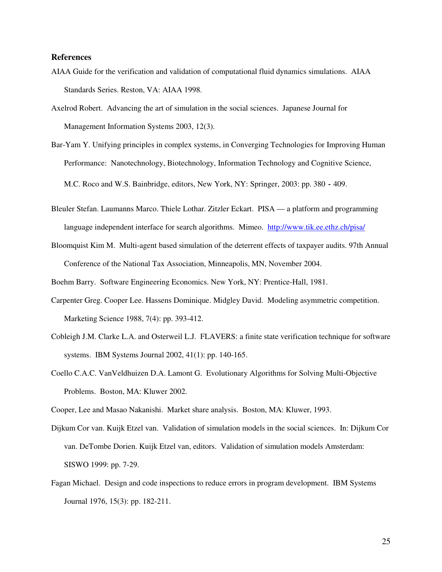## **References**

- AIAA Guide for the verification and validation of computational fluid dynamics simulations. AIAA Standards Series. Reston, VA: AIAA 1998.
- Axelrod Robert. Advancing the art of simulation in the social sciences. Japanese Journal for Management Information Systems 2003, 12(3).
- Bar-Yam Y. Unifying principles in complex systems, in Converging Technologies for Improving Human Performance: Nanotechnology, Biotechnology, Information Technology and Cognitive Science, M.C. Roco and W.S. Bainbridge, editors, New York, NY: Springer, 2003: pp. 380-409.
- Bleuler Stefan. Laumanns Marco. Thiele Lothar. Zitzler Eckart. PISA a platform and programming language independent interface for search algorithms. Mimeo. http://www.tik.ee.ethz.ch/pisa/
- Bloomquist Kim M. Multi-agent based simulation of the deterrent effects of taxpayer audits. 97th Annual Conference of the National Tax Association, Minneapolis, MN, November 2004.

Boehm Barry. Software Engineering Economics. New York, NY: Prentice-Hall, 1981.

- Carpenter Greg. Cooper Lee. Hassens Dominique. Midgley David. Modeling asymmetric competition. Marketing Science 1988, 7(4): pp. 393-412.
- Cobleigh J.M. Clarke L.A. and Osterweil L.J. FLAVERS: a finite state verification technique for software systems. IBM Systems Journal 2002, 41(1): pp. 140-165.
- Coello C.A.C. VanVeldhuizen D.A. Lamont G. Evolutionary Algorithms for Solving Multi-Objective Problems. Boston, MA: Kluwer 2002.

Cooper, Lee and Masao Nakanishi. Market share analysis. Boston, MA: Kluwer, 1993.

- Dijkum Cor van. Kuijk Etzel van. Validation of simulation models in the social sciences. In: Dijkum Cor van. DeTombe Dorien. Kuijk Etzel van, editors. Validation of simulation models Amsterdam: SISWO 1999: pp. 7-29.
- Fagan Michael. Design and code inspections to reduce errors in program development. IBM Systems Journal 1976, 15(3): pp. 182-211.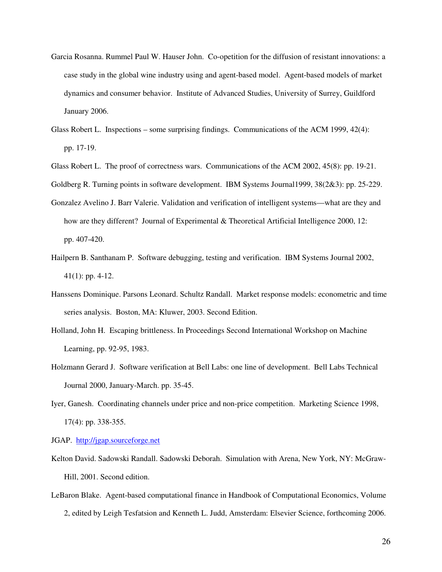- Garcia Rosanna. Rummel Paul W. Hauser John. Co-opetition for the diffusion of resistant innovations: a case study in the global wine industry using and agent-based model. Agent-based models of market dynamics and consumer behavior. Institute of Advanced Studies, University of Surrey, Guildford January 2006.
- Glass Robert L. Inspections some surprising findings. Communications of the ACM 1999, 42(4): pp. 17-19.
- Glass Robert L. The proof of correctness wars. Communications of the ACM 2002, 45(8): pp. 19-21.
- Goldberg R. Turning points in software development. IBM Systems Journal1999, 38(2&3): pp. 25-229.
- Gonzalez Avelino J. Barr Valerie. Validation and verification of intelligent systems—what are they and how are they different? Journal of Experimental & Theoretical Artificial Intelligence 2000, 12: pp. 407-420.
- Hailpern B. Santhanam P. Software debugging, testing and verification. IBM Systems Journal 2002, 41(1): pp. 4-12.
- Hanssens Dominique. Parsons Leonard. Schultz Randall. Market response models: econometric and time series analysis. Boston, MA: Kluwer, 2003. Second Edition.
- Holland, John H. Escaping brittleness. In Proceedings Second International Workshop on Machine Learning, pp. 92-95, 1983.
- Holzmann Gerard J. Software verification at Bell Labs: one line of development. Bell Labs Technical Journal 2000, January-March. pp. 35-45.
- Iyer, Ganesh. Coordinating channels under price and non-price competition. Marketing Science 1998, 17(4): pp. 338-355.
- JGAP. http://jgap.sourceforge.net
- Kelton David. Sadowski Randall. Sadowski Deborah. Simulation with Arena, New York, NY: McGraw-Hill, 2001. Second edition.
- LeBaron Blake. Agent-based computational finance in Handbook of Computational Economics, Volume 2, edited by Leigh Tesfatsion and Kenneth L. Judd, Amsterdam: Elsevier Science, forthcoming 2006.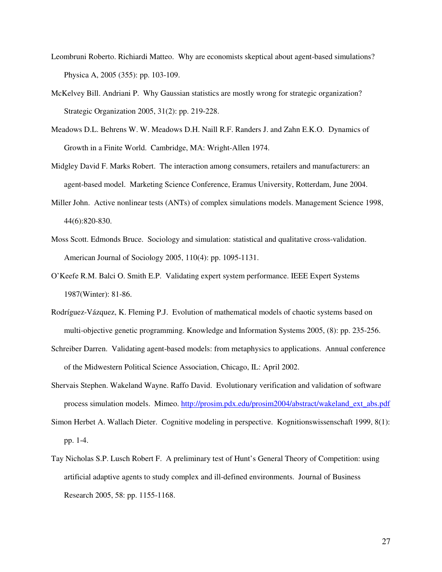- Leombruni Roberto. Richiardi Matteo. Why are economists skeptical about agent-based simulations? Physica A, 2005 (355): pp. 103-109.
- McKelvey Bill. Andriani P. Why Gaussian statistics are mostly wrong for strategic organization? Strategic Organization 2005, 31(2): pp. 219-228.
- Meadows D.L. Behrens W. W. Meadows D.H. Naill R.F. Randers J. and Zahn E.K.O. Dynamics of Growth in a Finite World. Cambridge, MA: Wright-Allen 1974.
- Midgley David F. Marks Robert. The interaction among consumers, retailers and manufacturers: an agent-based model. Marketing Science Conference, Eramus University, Rotterdam, June 2004.
- Miller John. Active nonlinear tests (ANTs) of complex simulations models. Management Science 1998, 44(6):820-830.
- Moss Scott. Edmonds Bruce. Sociology and simulation: statistical and qualitative cross-validation. American Journal of Sociology 2005, 110(4): pp. 1095-1131.
- O'Keefe R.M. Balci O. Smith E.P. Validating expert system performance. IEEE Expert Systems 1987(Winter): 81-86.
- Rodríguez-Vázquez, K. Fleming P.J. Evolution of mathematical models of chaotic systems based on multi-objective genetic programming. Knowledge and Information Systems 2005, (8): pp. 235-256.
- Schreiber Darren. Validating agent-based models: from metaphysics to applications. Annual conference of the Midwestern Political Science Association, Chicago, IL: April 2002.
- Shervais Stephen. Wakeland Wayne. Raffo David. Evolutionary verification and validation of software process simulation models. Mimeo. http://prosim.pdx.edu/prosim2004/abstract/wakeland\_ext\_abs.pdf
- Simon Herbet A. Wallach Dieter. Cognitive modeling in perspective. Kognitionswissenschaft 1999, 8(1): pp. 1-4.
- Tay Nicholas S.P. Lusch Robert F. A preliminary test of Hunt's General Theory of Competition: using artificial adaptive agents to study complex and ill-defined environments. Journal of Business Research 2005, 58: pp. 1155-1168.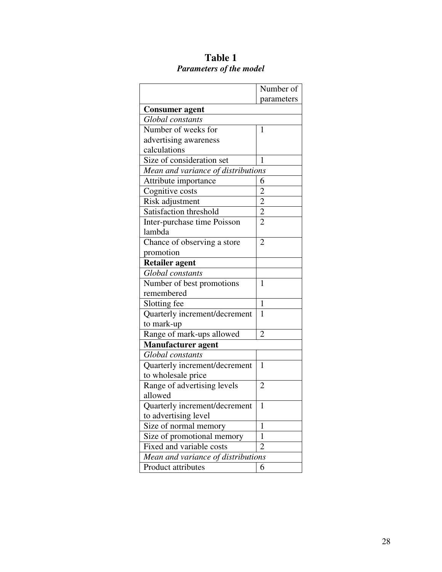|                                    | Number of      |
|------------------------------------|----------------|
|                                    | parameters     |
| <b>Consumer agent</b>              |                |
| Global constants                   |                |
| Number of weeks for                | 1              |
| advertising awareness              |                |
| calculations                       |                |
| Size of consideration set          | 1              |
| Mean and variance of distributions |                |
| Attribute importance               | 6              |
| Cognitive costs                    | $\overline{c}$ |
| Risk adjustment                    | $\overline{2}$ |
| Satisfaction threshold             | $\overline{2}$ |
| Inter-purchase time Poisson        | $\overline{2}$ |
| lambda                             |                |
| Chance of observing a store        | 2              |
| promotion                          |                |
| <b>Retailer agent</b>              |                |
| Global constants                   |                |
| Number of best promotions          | 1              |
| remembered                         |                |
| Slotting fee                       | $\mathbf{1}$   |
| Quarterly increment/decrement      | 1              |
| to mark-up                         |                |
| Range of mark-ups allowed          | 2              |
| <b>Manufacturer</b> agent          |                |
| Global constants                   |                |
| Quarterly increment/decrement      | 1              |
| to wholesale price                 |                |
| Range of advertising levels        | $\overline{2}$ |
| allowed                            |                |
| Quarterly increment/decrement      | $\mathbf{1}$   |
| to advertising level               |                |
| Size of normal memory              | 1              |
| Size of promotional memory         | $\mathbf{1}$   |
| Fixed and variable costs           | 2              |
| Mean and variance of distributions |                |
| Product attributes                 | 6              |

## **Table 1**  *Parameters of the model*